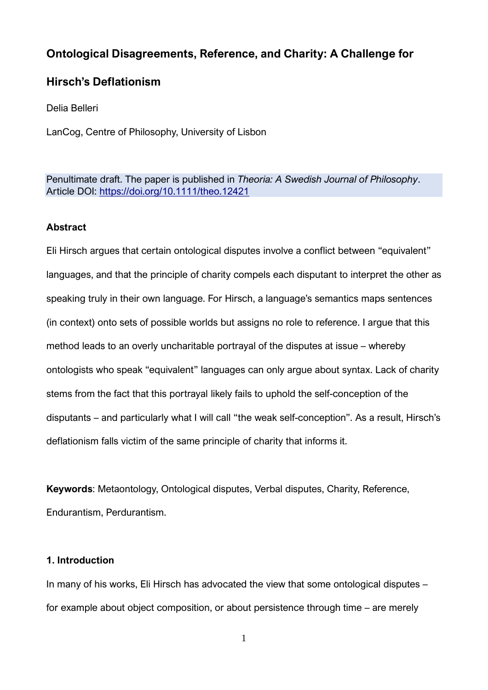# **Ontological Disagreements, Reference, and Charity: A Challenge for**

## **Hirsch's Deflationism**

Delia Belleri

LanCog, Centre of Philosophy, University of Lisbon

Penultimate draft. The paper is published in *Theoria: A Swedish Journal of Philosophy*. Article DOI:<https://doi.org/10.1111/theo.12421>

## **Abstract**

Eli Hirsch argues that certain ontological disputes involve a conflict between "equivalent" languages, and that the principle of charity compels each disputant to interpret the other as speaking truly in their own language. For Hirsch, a language's semantics maps sentences (in context) onto sets of possible worlds but assigns no role to reference. I argue that this method leads to an overly uncharitable portrayal of the disputes at issue – whereby ontologists who speak "equivalent" languages can only argue about syntax. Lack of charity stems from the fact that this portrayal likely fails to uphold the self-conception of the disputants – and particularly what I will call "the weak self-conception". As a result, Hirsch's deflationism falls victim of the same principle of charity that informs it.

**Keywords**: Metaontology, Ontological disputes, Verbal disputes, Charity, Reference, Endurantism, Perdurantism.

## **1. Introduction**

In many of his works, Eli Hirsch has advocated the view that some ontological disputes – for example about object composition, or about persistence through time – are merely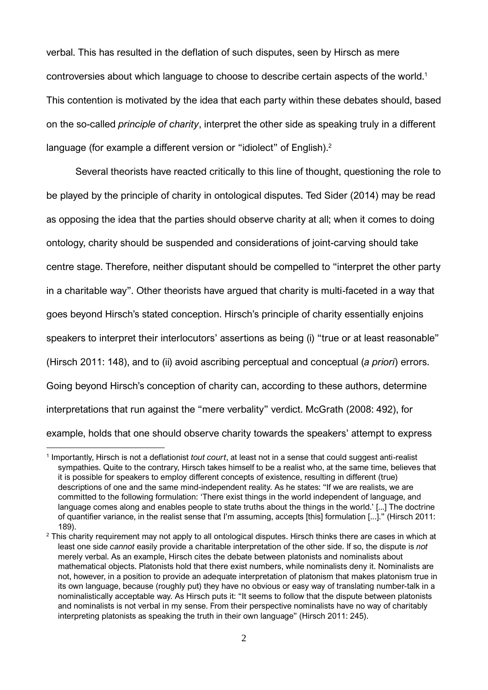verbal. This has resulted in the deflation of such disputes, seen by Hirsch as mere controversies about which language to choose to describe certain aspects of the world.<sup>1</sup> This contention is motivated by the idea that each party within these debates should, based on the so-called *principle of charity*, interpret the other side as speaking truly in a different language (for example a different version or "idiolect" of English).<sup>2</sup>

Several theorists have reacted critically to this line of thought, questioning the role to be played by the principle of charity in ontological disputes. Ted Sider (2014) may be read as opposing the idea that the parties should observe charity at all; when it comes to doing ontology, charity should be suspended and considerations of joint-carving should take centre stage. Therefore, neither disputant should be compelled to "interpret the other party in a charitable way". Other theorists have argued that charity is multi-faceted in a way that goes beyond Hirsch's stated conception. Hirsch's principle of charity essentially enjoins speakers to interpret their interlocutors' assertions as being (i) "true or at least reasonable" (Hirsch 2011: 148), and to (ii) avoid ascribing perceptual and conceptual (*a priori*) errors. Going beyond Hirsch's conception of charity can, according to these authors, determine interpretations that run against the "mere verbality" verdict. McGrath (2008: 492), for example, holds that one should observe charity towards the speakers' attempt to express

<sup>1</sup> Importantly, Hirsch is not a deflationist *tout court*, at least not in a sense that could suggest anti-realist sympathies. Quite to the contrary, Hirsch takes himself to be a realist who, at the same time, believes that it is possible for speakers to employ different concepts of existence, resulting in different (true) descriptions of one and the same mind-independent reality. As he states: "If we are realists, we are committed to the following formulation: 'There exist things in the world independent of language, and language comes along and enables people to state truths about the things in the world.' [...] The doctrine of quantifier variance, in the realist sense that I'm assuming, accepts [this] formulation [...]." (Hirsch 2011: 189).

 $2$  This charity requirement may not apply to all ontological disputes. Hirsch thinks there are cases in which at least one side *cannot* easily provide a charitable interpretation of the other side. If so, the dispute is *not* merely verbal. As an example, Hirsch cites the debate between platonists and nominalists about mathematical objects. Platonists hold that there exist numbers, while nominalists deny it. Nominalists are not, however, in a position to provide an adequate interpretation of platonism that makes platonism true in its own language, because (roughly put) they have no obvious or easy way of translating number-talk in a nominalistically acceptable way. As Hirsch puts it: "It seems to follow that the dispute between platonists and nominalists is not verbal in my sense. From their perspective nominalists have no way of charitably interpreting platonists as speaking the truth in their own language" (Hirsch 2011: 245).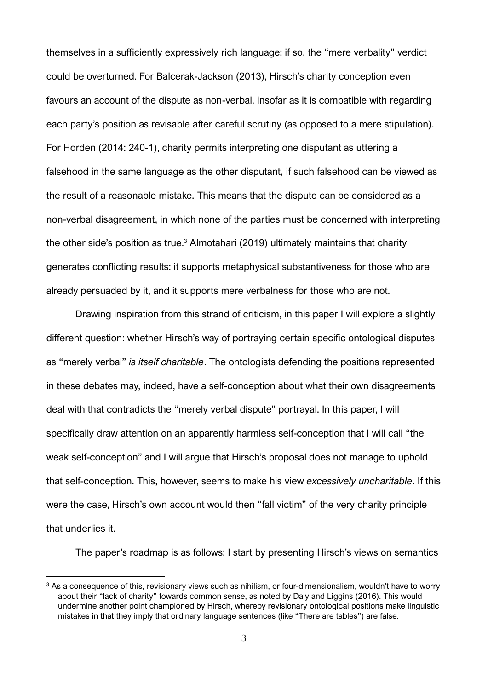themselves in a sufficiently expressively rich language; if so, the "mere verbality" verdict could be overturned. For Balcerak-Jackson (2013), Hirsch's charity conception even favours an account of the dispute as non-verbal, insofar as it is compatible with regarding each party's position as revisable after careful scrutiny (as opposed to a mere stipulation). For Horden (2014: 240-1), charity permits interpreting one disputant as uttering a falsehood in the same language as the other disputant, if such falsehood can be viewed as the result of a reasonable mistake. This means that the dispute can be considered as a non-verbal disagreement, in which none of the parties must be concerned with interpreting the other side's position as true. <sup>3</sup> Almotahari (2019) ultimately maintains that charity generates conflicting results: it supports metaphysical substantiveness for those who are already persuaded by it, and it supports mere verbalness for those who are not.

Drawing inspiration from this strand of criticism, in this paper I will explore a slightly different question: whether Hirsch's way of portraying certain specific ontological disputes as "merely verbal" *is itself charitable*. The ontologists defending the positions represented in these debates may, indeed, have a self-conception about what their own disagreements deal with that contradicts the "merely verbal dispute" portrayal. In this paper, I will specifically draw attention on an apparently harmless self-conception that I will call "the weak self-conception" and I will argue that Hirsch's proposal does not manage to uphold that self-conception. This, however, seems to make his view *excessively uncharitable*. If this were the case, Hirsch's own account would then "fall victim" of the very charity principle that underlies it.

The paper's roadmap is as follows: I start by presenting Hirsch's views on semantics

<sup>&</sup>lt;sup>3</sup> As a consequence of this, revisionary views such as nihilism, or four-dimensionalism, wouldn't have to worry about their "lack of charity" towards common sense, as noted by Daly and Liggins (2016). This would undermine another point championed by Hirsch, whereby revisionary ontological positions make linguistic mistakes in that they imply that ordinary language sentences (like "There are tables") are false.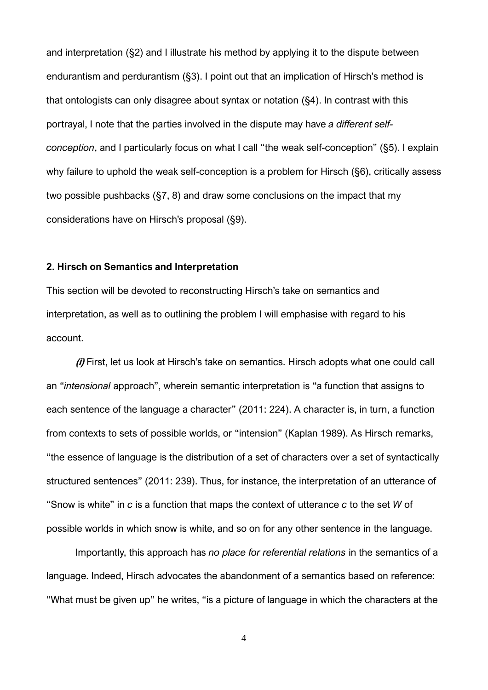and interpretation (§2) and I illustrate his method by applying it to the dispute between endurantism and perdurantism (§3). I point out that an implication of Hirsch's method is that ontologists can only disagree about syntax or notation (§4). In contrast with this portrayal, I note that the parties involved in the dispute may have *a different selfconception*, and I particularly focus on what I call "the weak self-conception" (§5). I explain why failure to uphold the weak self-conception is a problem for Hirsch (§6), critically assess two possible pushbacks (§7, 8) and draw some conclusions on the impact that my considerations have on Hirsch's proposal (§9).

## **2. Hirsch on Semantics and Interpretation**

This section will be devoted to reconstructing Hirsch's take on semantics and interpretation, as well as to outlining the problem I will emphasise with regard to his account.

**(i)** First, let us look at Hirsch's take on semantics. Hirsch adopts what one could call an "*intensional* approach", wherein semantic interpretation is "a function that assigns to each sentence of the language a character" (2011: 224). A character is, in turn, a function from contexts to sets of possible worlds, or "intension" (Kaplan 1989). As Hirsch remarks, "the essence of language is the distribution of a set of characters over a set of syntactically structured sentences" (2011: 239). Thus, for instance, the interpretation of an utterance of "Snow is white" in *c* is a function that maps the context of utterance *c* to the set *W* of possible worlds in which snow is white, and so on for any other sentence in the language.

Importantly, this approach has *no place for referential relations* in the semantics of a language. Indeed, Hirsch advocates the abandonment of a semantics based on reference: "What must be given up" he writes, "is a picture of language in which the characters at the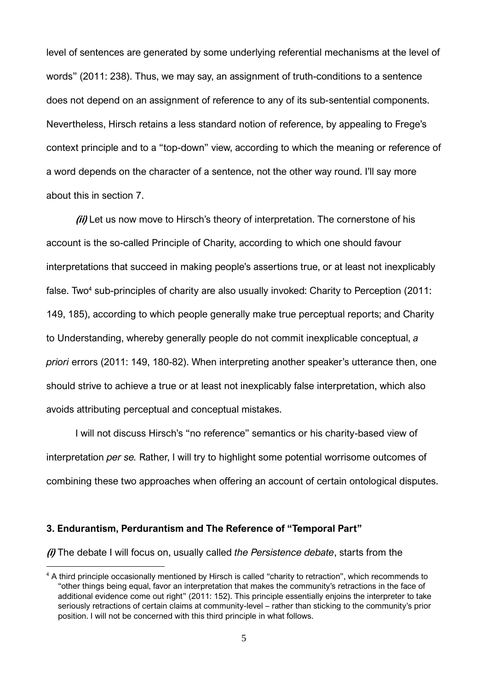level of sentences are generated by some underlying referential mechanisms at the level of words" (2011: 238). Thus, we may say, an assignment of truth-conditions to a sentence does not depend on an assignment of reference to any of its sub-sentential components. Nevertheless, Hirsch retains a less standard notion of reference, by appealing to Frege's context principle and to a "top-down" view, according to which the meaning or reference of a word depends on the character of a sentence, not the other way round. I'll say more about this in section 7.

**(ii)** Let us now move to Hirsch's theory of interpretation. The cornerstone of his account is the so-called Principle of Charity, according to which one should favour interpretations that succeed in making people's assertions true, or at least not inexplicably false. Two<sup>4</sup> sub-principles of charity are also usually invoked: Charity to Perception (2011: 149, 185), according to which people generally make true perceptual reports; and Charity to Understanding, whereby generally people do not commit inexplicable conceptual, *a priori* errors (2011: 149, 180-82). When interpreting another speaker's utterance then, one should strive to achieve a true or at least not inexplicably false interpretation, which also avoids attributing perceptual and conceptual mistakes.

I will not discuss Hirsch's "no reference" semantics or his charity-based view of interpretation *per se.* Rather, I will try to highlight some potential worrisome outcomes of combining these two approaches when offering an account of certain ontological disputes.

## **3. Endurantism, Perdurantism and The Reference of "Temporal Part"**

**(i)** The debate I will focus on, usually called *the Persistence debate*, starts from the

<sup>&</sup>lt;sup>4</sup> A third principle occasionally mentioned by Hirsch is called "charity to retraction", which recommends to "other things being equal, favor an interpretation that makes the community's retractions in the face of additional evidence come out right" (2011: 152). This principle essentially enjoins the interpreter to take seriously retractions of certain claims at community-level – rather than sticking to the community's prior position. I will not be concerned with this third principle in what follows.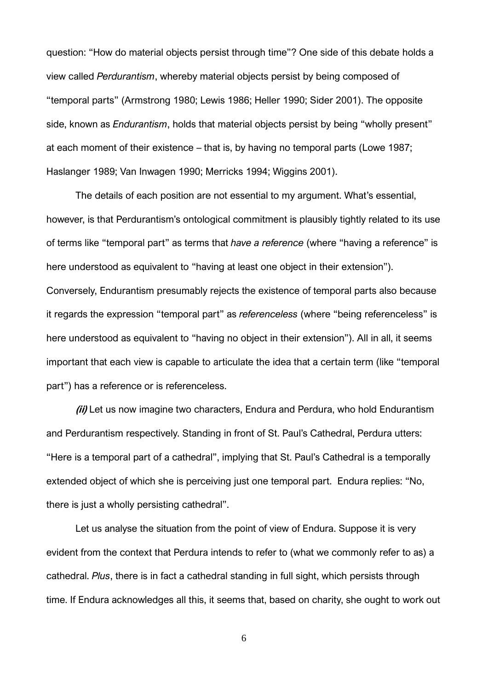question: "How do material objects persist through time"? One side of this debate holds a view called *Perdurantism*, whereby material objects persist by being composed of "temporal parts" (Armstrong 1980; Lewis 1986; Heller 1990; Sider 2001). The opposite side, known as *Endurantism*, holds that material objects persist by being "wholly present" at each moment of their existence – that is, by having no temporal parts (Lowe 1987; Haslanger 1989; Van Inwagen 1990; Merricks 1994; Wiggins 2001).

The details of each position are not essential to my argument. What's essential, however, is that Perdurantism's ontological commitment is plausibly tightly related to its use of terms like "temporal part" as terms that *have a reference* (where "having a reference" is here understood as equivalent to "having at least one object in their extension"). Conversely, Endurantism presumably rejects the existence of temporal parts also because it regards the expression "temporal part" as *referenceless* (where "being referenceless" is here understood as equivalent to "having no object in their extension"). All in all, it seems important that each view is capable to articulate the idea that a certain term (like "temporal part") has a reference or is referenceless.

**(ii)** Let us now imagine two characters, Endura and Perdura, who hold Endurantism and Perdurantism respectively. Standing in front of St. Paul's Cathedral, Perdura utters: "Here is a temporal part of a cathedral", implying that St. Paul's Cathedral is a temporally extended object of which she is perceiving just one temporal part. Endura replies: "No, there is just a wholly persisting cathedral".

Let us analyse the situation from the point of view of Endura. Suppose it is very evident from the context that Perdura intends to refer to (what we commonly refer to as) a cathedral. *Plus*, there is in fact a cathedral standing in full sight, which persists through time. If Endura acknowledges all this, it seems that, based on charity, she ought to work out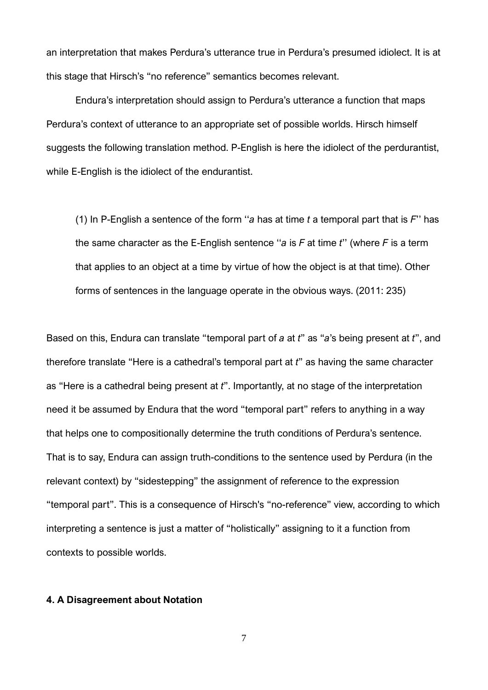an interpretation that makes Perdura's utterance true in Perdura's presumed idiolect. It is at this stage that Hirsch's "no reference" semantics becomes relevant.

Endura's interpretation should assign to Perdura's utterance a function that maps Perdura's context of utterance to an appropriate set of possible worlds. Hirsch himself suggests the following translation method. P-English is here the idiolect of the perdurantist, while E-English is the idiolect of the endurantist.

(1) In P-English a sentence of the form ''*a* has at time *t* a temporal part that is *F*'' has the same character as the E-English sentence ''*a* is *F* at time *t*'' (where *F* is a term that applies to an object at a time by virtue of how the object is at that time). Other forms of sentences in the language operate in the obvious ways. (2011: 235)

Based on this, Endura can translate "temporal part of *a* at *t*" as "*a*'s being present at *t*", and therefore translate "Here is a cathedral's temporal part at *t*" as having the same character as "Here is a cathedral being present at *t*". Importantly, at no stage of the interpretation need it be assumed by Endura that the word "temporal part" refers to anything in a way that helps one to compositionally determine the truth conditions of Perdura's sentence. That is to say, Endura can assign truth-conditions to the sentence used by Perdura (in the relevant context) by "sidestepping" the assignment of reference to the expression "temporal part". This is a consequence of Hirsch's "no-reference" view, according to which interpreting a sentence is just a matter of "holistically" assigning to it a function from contexts to possible worlds.

#### **4. A Disagreement about Notation**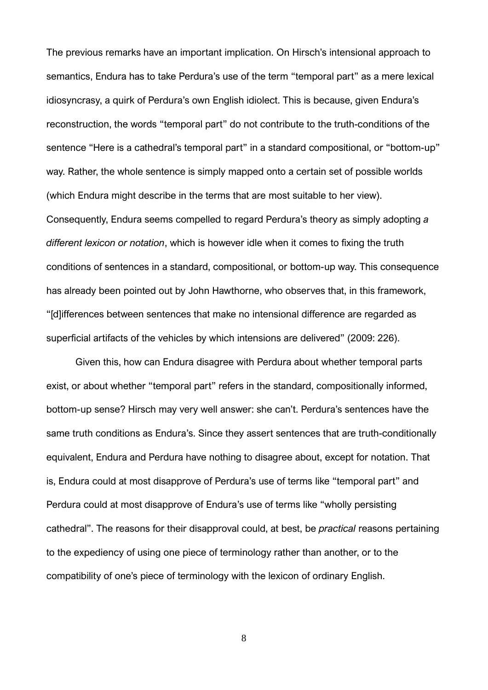The previous remarks have an important implication. On Hirsch's intensional approach to semantics, Endura has to take Perdura's use of the term "temporal part" as a mere lexical idiosyncrasy, a quirk of Perdura's own English idiolect. This is because, given Endura's reconstruction, the words "temporal part" do not contribute to the truth-conditions of the sentence "Here is a cathedral's temporal part" in a standard compositional, or "bottom-up" way. Rather, the whole sentence is simply mapped onto a certain set of possible worlds (which Endura might describe in the terms that are most suitable to her view). Consequently, Endura seems compelled to regard Perdura's theory as simply adopting *a different lexicon or notation*, which is however idle when it comes to fixing the truth conditions of sentences in a standard, compositional, or bottom-up way. This consequence has already been pointed out by John Hawthorne, who observes that, in this framework, "[d]ifferences between sentences that make no intensional difference are regarded as superficial artifacts of the vehicles by which intensions are delivered" (2009: 226).

Given this, how can Endura disagree with Perdura about whether temporal parts exist, or about whether "temporal part" refers in the standard, compositionally informed, bottom-up sense? Hirsch may very well answer: she can't. Perdura's sentences have the same truth conditions as Endura's. Since they assert sentences that are truth-conditionally equivalent, Endura and Perdura have nothing to disagree about, except for notation. That is, Endura could at most disapprove of Perdura's use of terms like "temporal part" and Perdura could at most disapprove of Endura's use of terms like "wholly persisting cathedral". The reasons for their disapproval could, at best, be *practical* reasons pertaining to the expediency of using one piece of terminology rather than another, or to the compatibility of one's piece of terminology with the lexicon of ordinary English.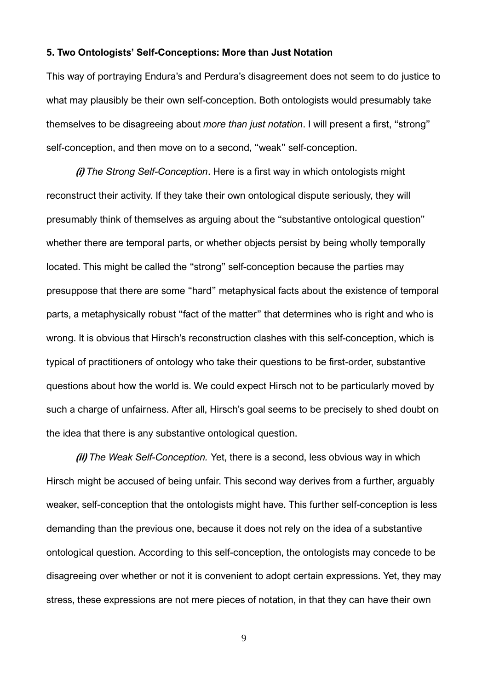#### **5. Two Ontologists' Self-Conceptions: More than Just Notation**

This way of portraying Endura's and Perdura's disagreement does not seem to do justice to what may plausibly be their own self-conception. Both ontologists would presumably take themselves to be disagreeing about *more than just notation*. I will present a first, "strong" self-conception, and then move on to a second, "weak" self-conception.

**(i)** *The Strong Self-Conception*. Here is a first way in which ontologists might reconstruct their activity. If they take their own ontological dispute seriously, they will presumably think of themselves as arguing about the "substantive ontological question" whether there are temporal parts, or whether objects persist by being wholly temporally located. This might be called the "strong" self-conception because the parties may presuppose that there are some "hard" metaphysical facts about the existence of temporal parts, a metaphysically robust "fact of the matter" that determines who is right and who is wrong. It is obvious that Hirsch's reconstruction clashes with this self-conception, which is typical of practitioners of ontology who take their questions to be first-order, substantive questions about how the world is. We could expect Hirsch not to be particularly moved by such a charge of unfairness. After all, Hirsch's goal seems to be precisely to shed doubt on the idea that there is any substantive ontological question.

**(ii)** *The Weak Self-Conception.* Yet, there is a second, less obvious way in which Hirsch might be accused of being unfair. This second way derives from a further, arguably weaker, self-conception that the ontologists might have. This further self-conception is less demanding than the previous one, because it does not rely on the idea of a substantive ontological question. According to this self-conception, the ontologists may concede to be disagreeing over whether or not it is convenient to adopt certain expressions. Yet, they may stress, these expressions are not mere pieces of notation, in that they can have their own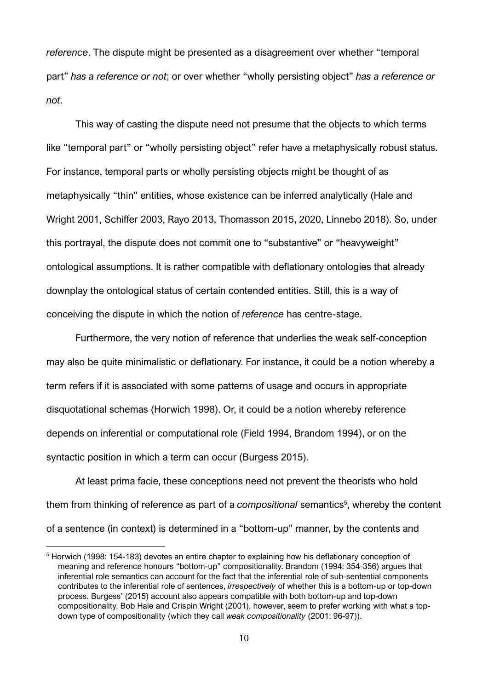*reference*. The dispute might be presented as a disagreement over whether "temporal part" *has a reference or not*; or over whether "wholly persisting object" *has a reference or not*.

This way of casting the dispute need not presume that the objects to which terms like "temporal part" or "wholly persisting object" refer have a metaphysically robust status. For instance, temporal parts or wholly persisting objects might be thought of as metaphysically "thin" entities, whose existence can be inferred analytically (Hale and Wright 2001, Schiffer 2003, Rayo 2013, Thomasson 2015, 2020, Linnebo 2018). So, under this portrayal, the dispute does not commit one to "substantive" or "heavyweight" ontological assumptions. It is rather compatible with deflationary ontologies that already downplay the ontological status of certain contended entities. Still, this is a way of conceiving the dispute in which the notion of *reference* has centre-stage.

Furthermore, the very notion of reference that underlies the weak self-conception may also be quite minimalistic or deflationary. For instance, it could be a notion whereby a term refers if it is associated with some patterns of usage and occurs in appropriate disquotational schemas (Horwich 1998). Or, it could be a notion whereby reference depends on inferential or computational role (Field 1994, Brandom 1994), or on the syntactic position in which a term can occur (Burgess 2015).

At least prima facie, these conceptions need not prevent the theorists who hold them from thinking of reference as part of a *compositional* semantics<sup>5</sup>, whereby the content of a sentence (in context) is determined in a "bottom-up" manner, by the contents and

<sup>&</sup>lt;sup>5</sup> Horwich (1998: 154-183) devotes an entire chapter to explaining how his deflationary conception of meaning and reference honours "bottom-up" compositionality. Brandom (1994: 354-356) argues that inferential role semantics can account for the fact that the inferential role of sub-sentential components contributes to the inferential role of sentences, *irrespectively* of whether this is a bottom-up or top-down process. Burgess' (2015) account also appears compatible with both bottom-up and top-down compositionality. Bob Hale and Crispin Wright (2001), however, seem to prefer working with what a topdown type of compositionality (which they call *weak compositionality* (2001: 96-97)).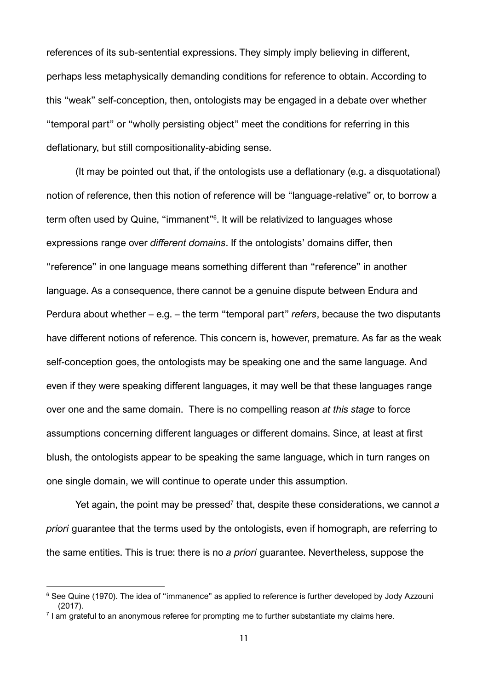references of its sub-sentential expressions. They simply imply believing in different, perhaps less metaphysically demanding conditions for reference to obtain. According to this "weak" self-conception, then, ontologists may be engaged in a debate over whether "temporal part" or "wholly persisting object" meet the conditions for referring in this deflationary, but still compositionality-abiding sense.

(It may be pointed out that, if the ontologists use a deflationary (e.g. a disquotational) notion of reference, then this notion of reference will be "language-relative" or, to borrow a term often used by Quine, "immanent"<sup>6</sup>. It will be relativized to languages whose expressions range over *different domains*. If the ontologists' domains differ, then "reference" in one language means something different than "reference" in another language. As a consequence, there cannot be a genuine dispute between Endura and Perdura about whether – e.g. – the term "temporal part" *refers*, because the two disputants have different notions of reference. This concern is, however, premature. As far as the weak self-conception goes, the ontologists may be speaking one and the same language. And even if they were speaking different languages, it may well be that these languages range over one and the same domain. There is no compelling reason *at this stage* to force assumptions concerning different languages or different domains. Since, at least at first blush, the ontologists appear to be speaking the same language, which in turn ranges on one single domain, we will continue to operate under this assumption.

Yet again, the point may be pressed<sup>7</sup> that, despite these considerations, we cannot a *priori* guarantee that the terms used by the ontologists, even if homograph, are referring to the same entities. This is true: there is no *a priori* guarantee. Nevertheless, suppose the

<sup>&</sup>lt;sup>6</sup> See Quine (1970). The idea of "immanence" as applied to reference is further developed by Jody Azzouni (2017).

<sup>7</sup> I am grateful to an anonymous referee for prompting me to further substantiate my claims here.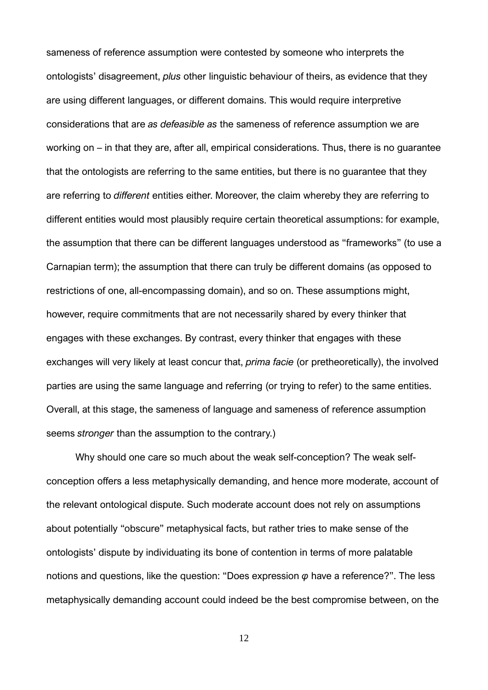sameness of reference assumption were contested by someone who interprets the ontologists' disagreement, *plus* other linguistic behaviour of theirs, as evidence that they are using different languages, or different domains. This would require interpretive considerations that are *as defeasible as* the sameness of reference assumption we are working on – in that they are, after all, empirical considerations. Thus, there is no guarantee that the ontologists are referring to the same entities, but there is no guarantee that they are referring to *different* entities either. Moreover, the claim whereby they are referring to different entities would most plausibly require certain theoretical assumptions: for example, the assumption that there can be different languages understood as "frameworks" (to use a Carnapian term); the assumption that there can truly be different domains (as opposed to restrictions of one, all-encompassing domain), and so on. These assumptions might, however, require commitments that are not necessarily shared by every thinker that engages with these exchanges. By contrast, every thinker that engages with these exchanges will very likely at least concur that, *prima facie* (or pretheoretically), the involved parties are using the same language and referring (or trying to refer) to the same entities. Overall, at this stage, the sameness of language and sameness of reference assumption seems *stronger* than the assumption to the contrary.)

Why should one care so much about the weak self-conception? The weak selfconception offers a less metaphysically demanding, and hence more moderate, account of the relevant ontological dispute. Such moderate account does not rely on assumptions about potentially "obscure" metaphysical facts, but rather tries to make sense of the ontologists' dispute by individuating its bone of contention in terms of more palatable notions and questions, like the question: "Does expression *φ* have a reference?". The less metaphysically demanding account could indeed be the best compromise between, on the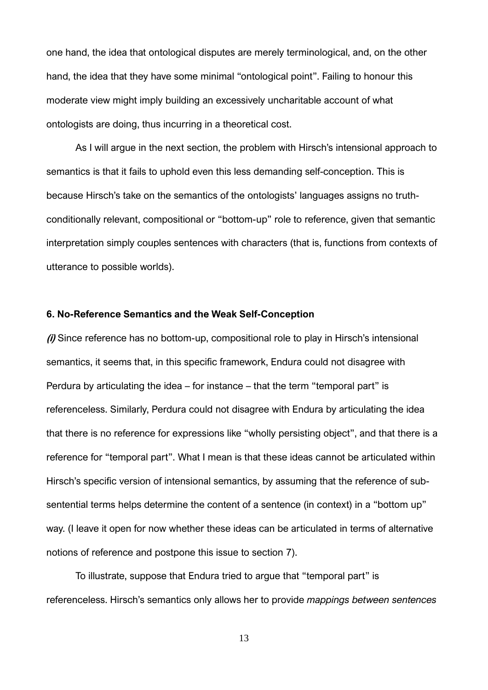one hand, the idea that ontological disputes are merely terminological, and, on the other hand, the idea that they have some minimal "ontological point". Failing to honour this moderate view might imply building an excessively uncharitable account of what ontologists are doing, thus incurring in a theoretical cost.

As I will argue in the next section, the problem with Hirsch's intensional approach to semantics is that it fails to uphold even this less demanding self-conception. This is because Hirsch's take on the semantics of the ontologists' languages assigns no truthconditionally relevant, compositional or "bottom-up" role to reference, given that semantic interpretation simply couples sentences with characters (that is, functions from contexts of utterance to possible worlds).

## **6. No-Reference Semantics and the Weak Self-Conception**

**(i)** Since reference has no bottom-up, compositional role to play in Hirsch's intensional semantics, it seems that, in this specific framework, Endura could not disagree with Perdura by articulating the idea – for instance – that the term "temporal part" is referenceless. Similarly, Perdura could not disagree with Endura by articulating the idea that there is no reference for expressions like "wholly persisting object", and that there is a reference for "temporal part". What I mean is that these ideas cannot be articulated within Hirsch's specific version of intensional semantics, by assuming that the reference of subsentential terms helps determine the content of a sentence (in context) in a "bottom up" way. (I leave it open for now whether these ideas can be articulated in terms of alternative notions of reference and postpone this issue to section 7).

To illustrate, suppose that Endura tried to argue that "temporal part" is referenceless. Hirsch's semantics only allows her to provide *mappings between sentences*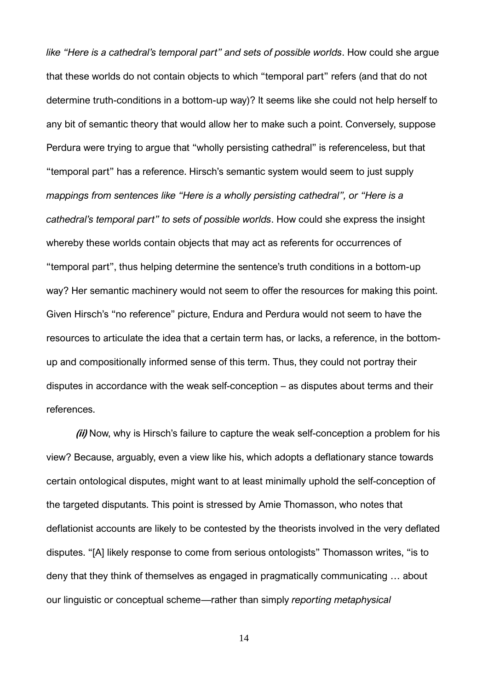*like "Here is a cathedral's temporal part" and sets of possible worlds*. How could she argue that these worlds do not contain objects to which "temporal part" refers (and that do not determine truth-conditions in a bottom-up way)? It seems like she could not help herself to any bit of semantic theory that would allow her to make such a point. Conversely, suppose Perdura were trying to argue that "wholly persisting cathedral" is referenceless, but that "temporal part" has a reference. Hirsch's semantic system would seem to just supply *mappings from sentences like "Here is a wholly persisting cathedral", or "Here is a cathedral's temporal part" to sets of possible worlds*. How could she express the insight whereby these worlds contain objects that may act as referents for occurrences of "temporal part", thus helping determine the sentence's truth conditions in a bottom-up way? Her semantic machinery would not seem to offer the resources for making this point. Given Hirsch's "no reference" picture, Endura and Perdura would not seem to have the resources to articulate the idea that a certain term has, or lacks, a reference, in the bottomup and compositionally informed sense of this term. Thus, they could not portray their disputes in accordance with the weak self-conception – as disputes about terms and their references.

**(ii)** Now, why is Hirsch's failure to capture the weak self-conception a problem for his view? Because, arguably, even a view like his, which adopts a deflationary stance towards certain ontological disputes, might want to at least minimally uphold the self-conception of the targeted disputants. This point is stressed by Amie Thomasson, who notes that deflationist accounts are likely to be contested by the theorists involved in the very deflated disputes. "[A] likely response to come from serious ontologists" Thomasson writes, "is to deny that they think of themselves as engaged in pragmatically communicating … about our linguistic or conceptual scheme—rather than simply *reporting metaphysical*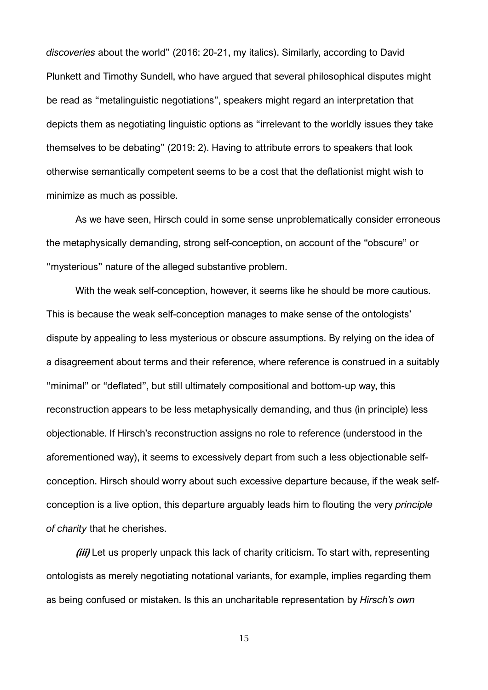*discoveries* about the world" (2016: 20-21, my italics). Similarly, according to David Plunkett and Timothy Sundell, who have argued that several philosophical disputes might be read as "metalinguistic negotiations", speakers might regard an interpretation that depicts them as negotiating linguistic options as "irrelevant to the worldly issues they take themselves to be debating" (2019: 2). Having to attribute errors to speakers that look otherwise semantically competent seems to be a cost that the deflationist might wish to minimize as much as possible.

As we have seen, Hirsch could in some sense unproblematically consider erroneous the metaphysically demanding, strong self-conception, on account of the "obscure" or "mysterious" nature of the alleged substantive problem.

With the weak self-conception, however, it seems like he should be more cautious. This is because the weak self-conception manages to make sense of the ontologists' dispute by appealing to less mysterious or obscure assumptions. By relying on the idea of a disagreement about terms and their reference, where reference is construed in a suitably "minimal" or "deflated", but still ultimately compositional and bottom-up way, this reconstruction appears to be less metaphysically demanding, and thus (in principle) less objectionable. If Hirsch's reconstruction assigns no role to reference (understood in the aforementioned way), it seems to excessively depart from such a less objectionable selfconception. Hirsch should worry about such excessive departure because, if the weak selfconception is a live option, this departure arguably leads him to flouting the very *principle of charity* that he cherishes.

**(iii)** Let us properly unpack this lack of charity criticism. To start with, representing ontologists as merely negotiating notational variants, for example, implies regarding them as being confused or mistaken. Is this an uncharitable representation by *Hirsch's own*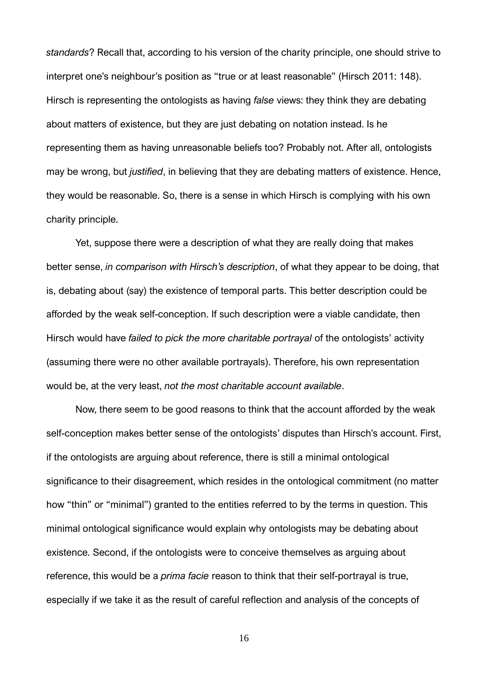*standards*? Recall that, according to his version of the charity principle, one should strive to interpret one's neighbour's position as "true or at least reasonable" (Hirsch 2011: 148). Hirsch is representing the ontologists as having *false* views: they think they are debating about matters of existence, but they are just debating on notation instead. Is he representing them as having unreasonable beliefs too? Probably not. After all, ontologists may be wrong, but *justified*, in believing that they are debating matters of existence. Hence, they would be reasonable. So, there is a sense in which Hirsch is complying with his own charity principle.

Yet, suppose there were a description of what they are really doing that makes better sense, *in comparison with Hirsch's description*, of what they appear to be doing, that is, debating about (say) the existence of temporal parts. This better description could be afforded by the weak self-conception. If such description were a viable candidate, then Hirsch would have *failed to pick the more charitable portrayal* of the ontologists' activity (assuming there were no other available portrayals). Therefore, his own representation would be, at the very least, *not the most charitable account available*.

Now, there seem to be good reasons to think that the account afforded by the weak self-conception makes better sense of the ontologists' disputes than Hirsch's account. First, if the ontologists are arguing about reference, there is still a minimal ontological significance to their disagreement, which resides in the ontological commitment (no matter how "thin" or "minimal") granted to the entities referred to by the terms in question. This minimal ontological significance would explain why ontologists may be debating about existence. Second, if the ontologists were to conceive themselves as arguing about reference, this would be a *prima facie* reason to think that their self-portrayal is true, especially if we take it as the result of careful reflection and analysis of the concepts of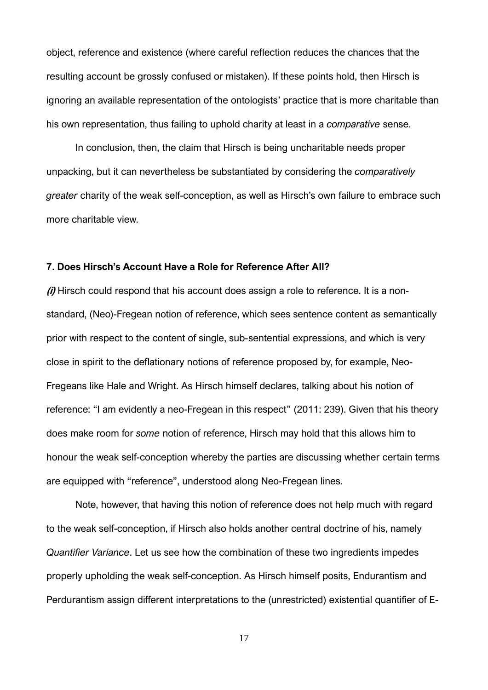object, reference and existence (where careful reflection reduces the chances that the resulting account be grossly confused or mistaken). If these points hold, then Hirsch is ignoring an available representation of the ontologists' practice that is more charitable than his own representation, thus failing to uphold charity at least in a *comparative* sense.

In conclusion, then, the claim that Hirsch is being uncharitable needs proper unpacking, but it can nevertheless be substantiated by considering the *comparatively greater* charity of the weak self-conception, as well as Hirsch's own failure to embrace such more charitable view.

## **7. Does Hirsch's Account Have a Role for Reference After All?**

**(i)** Hirsch could respond that his account does assign a role to reference. It is a nonstandard, (Neo)-Fregean notion of reference, which sees sentence content as semantically prior with respect to the content of single, sub-sentential expressions, and which is very close in spirit to the deflationary notions of reference proposed by, for example, Neo-Fregeans like Hale and Wright. As Hirsch himself declares, talking about his notion of reference: "I am evidently a neo-Fregean in this respect" (2011: 239). Given that his theory does make room for *some* notion of reference, Hirsch may hold that this allows him to honour the weak self-conception whereby the parties are discussing whether certain terms are equipped with "reference", understood along Neo-Fregean lines.

Note, however, that having this notion of reference does not help much with regard to the weak self-conception, if Hirsch also holds another central doctrine of his, namely *Quantifier Variance*. Let us see how the combination of these two ingredients impedes properly upholding the weak self-conception. As Hirsch himself posits, Endurantism and Perdurantism assign different interpretations to the (unrestricted) existential quantifier of E-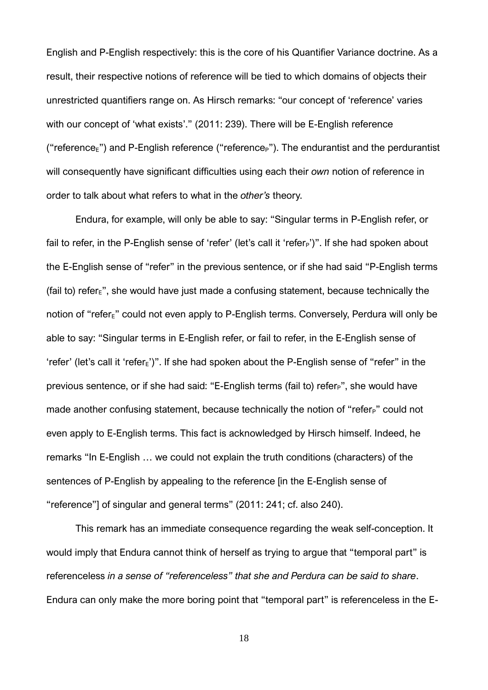English and P-English respectively: this is the core of his Quantifier Variance doctrine. As a result, their respective notions of reference will be tied to which domains of objects their unrestricted quantifiers range on. As Hirsch remarks: "our concept of 'reference' varies with our concept of 'what exists'." (2011: 239). There will be E-English reference ("reference $F$ ") and P-English reference ("reference $F$ "). The endurantist and the perdurantist will consequently have significant difficulties using each their *own* notion of reference in order to talk about what refers to what in the *other's* theory.

Endura, for example, will only be able to say: "Singular terms in P-English refer, or fail to refer, in the P-English sense of 'refer' (let's call it 'refer<sub>P</sub>')". If she had spoken about the E-English sense of "refer" in the previous sentence, or if she had said "P-English terms (fail to) refer $_{\rm E}$ ", she would have just made a confusing statement, because technically the notion of "refer $_{E}$ " could not even apply to P-English terms. Conversely, Perdura will only be able to say: "Singular terms in E-English refer, or fail to refer, in the E-English sense of 'refer' (let's call it 'refer $_{E}$ ')". If she had spoken about the P-English sense of "refer" in the previous sentence, or if she had said: "E-English terms (fail to) refer<sub>P</sub>", she would have made another confusing statement, because technically the notion of "refer<sub>P</sub>" could not even apply to E-English terms. This fact is acknowledged by Hirsch himself. Indeed, he remarks "In E-English … we could not explain the truth conditions (characters) of the sentences of P-English by appealing to the reference [in the E-English sense of "reference"] of singular and general terms" (2011: 241; cf. also 240).

This remark has an immediate consequence regarding the weak self-conception. It would imply that Endura cannot think of herself as trying to argue that "temporal part" is referenceless *in a sense of "referenceless" that she and Perdura can be said to share*. Endura can only make the more boring point that "temporal part" is referenceless in the E-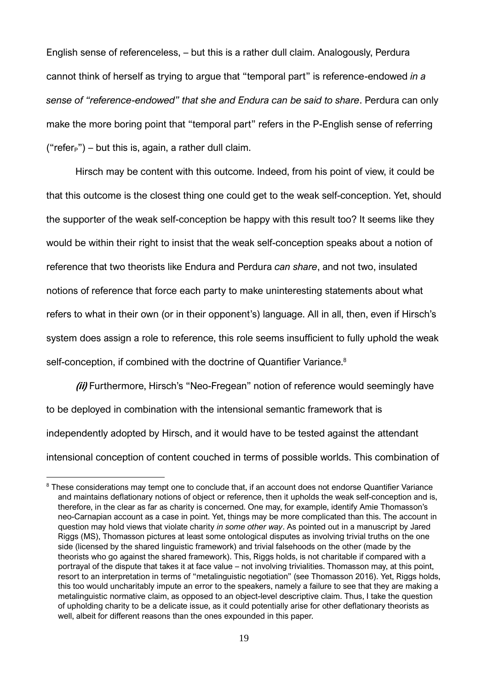English sense of referenceless, – but this is a rather dull claim. Analogously, Perdura cannot think of herself as trying to argue that "temporal part" is reference-endowed *in a sense of "reference-endowed" that she and Endura can be said to share*. Perdura can only make the more boring point that "temporal part" refers in the P-English sense of referring ("refer $p$ ") – but this is, again, a rather dull claim.

Hirsch may be content with this outcome. Indeed, from his point of view, it could be that this outcome is the closest thing one could get to the weak self-conception. Yet, should the supporter of the weak self-conception be happy with this result too? It seems like they would be within their right to insist that the weak self-conception speaks about a notion of reference that two theorists like Endura and Perdura *can share*, and not two, insulated notions of reference that force each party to make uninteresting statements about what refers to what in their own (or in their opponent's) language. All in all, then, even if Hirsch's system does assign a role to reference, this role seems insufficient to fully uphold the weak self-conception, if combined with the doctrine of Quantifier Variance.<sup>8</sup>

**(ii)** Furthermore, Hirsch's "Neo-Fregean" notion of reference would seemingly have to be deployed in combination with the intensional semantic framework that is independently adopted by Hirsch, and it would have to be tested against the attendant intensional conception of content couched in terms of possible worlds. This combination of

<sup>&</sup>lt;sup>8</sup> These considerations may tempt one to conclude that, if an account does not endorse Quantifier Variance and maintains deflationary notions of object or reference, then it upholds the weak self-conception and is, therefore, in the clear as far as charity is concerned. One may, for example, identify Amie Thomasson's neo-Carnapian account as a case in point. Yet, things may be more complicated than this. The account in question may hold views that violate charity *in some other way*. As pointed out in a manuscript by Jared Riggs (MS), Thomasson pictures at least some ontological disputes as involving trivial truths on the one side (licensed by the shared linguistic framework) and trivial falsehoods on the other (made by the theorists who go against the shared framework). This, Riggs holds, is not charitable if compared with a portrayal of the dispute that takes it at face value – not involving trivialities. Thomasson may, at this point, resort to an interpretation in terms of "metalinguistic negotiation" (see Thomasson 2016). Yet, Riggs holds, this too would uncharitably impute an error to the speakers, namely a failure to see that they are making a metalinguistic normative claim, as opposed to an object-level descriptive claim. Thus, I take the question of upholding charity to be a delicate issue, as it could potentially arise for other deflationary theorists as well, albeit for different reasons than the ones expounded in this paper.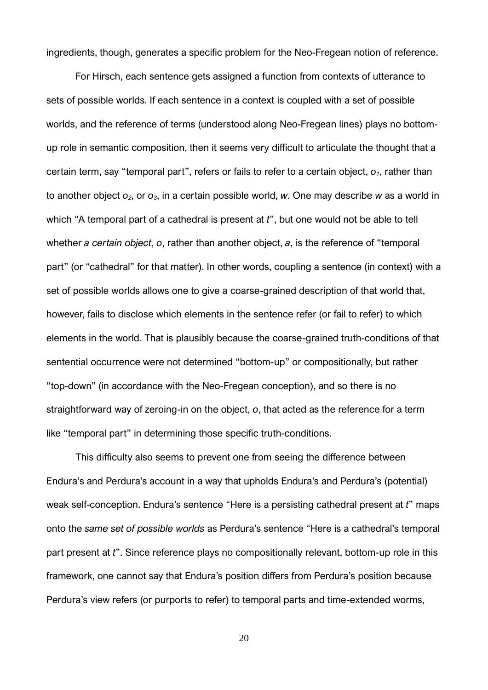ingredients, though, generates a specific problem for the Neo-Fregean notion of reference.

For Hirsch, each sentence gets assigned a function from contexts of utterance to sets of possible worlds. If each sentence in a context is coupled with a set of possible worlds, and the reference of terms (understood along Neo-Fregean lines) plays no bottomup role in semantic composition, then it seems very difficult to articulate the thought that a certain term, say "temporal part", refers or fails to refer to a certain object, *o1*, rather than to another object *o2*, or *o3*, in a certain possible world, *w*. One may describe *w* as a world in which "A temporal part of a cathedral is present at *t*", but one would not be able to tell whether *a certain object*, *o*, rather than another object, *a*, is the reference of "temporal part" (or "cathedral" for that matter). In other words, coupling a sentence (in context) with a set of possible worlds allows one to give a coarse-grained description of that world that, however, fails to disclose which elements in the sentence refer (or fail to refer) to which elements in the world. That is plausibly because the coarse-grained truth-conditions of that sentential occurrence were not determined "bottom-up" or compositionally, but rather "top-down" (in accordance with the Neo-Fregean conception), and so there is no straightforward way of zeroing-in on the object, *o*, that acted as the reference for a term like "temporal part" in determining those specific truth-conditions.

This difficulty also seems to prevent one from seeing the difference between Endura's and Perdura's account in a way that upholds Endura's and Perdura's (potential) weak self-conception. Endura's sentence "Here is a persisting cathedral present at *t*" maps onto the *same set of possible worlds* as Perdura's sentence "Here is a cathedral's temporal part present at *t*". Since reference plays no compositionally relevant, bottom-up role in this framework, one cannot say that Endura's position differs from Perdura's position because Perdura's view refers (or purports to refer) to temporal parts and time-extended worms,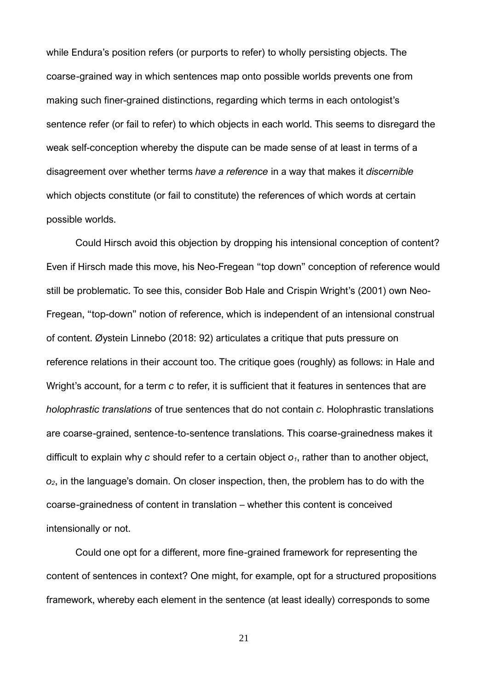while Endura's position refers (or purports to refer) to wholly persisting objects. The coarse-grained way in which sentences map onto possible worlds prevents one from making such finer-grained distinctions, regarding which terms in each ontologist's sentence refer (or fail to refer) to which objects in each world. This seems to disregard the weak self-conception whereby the dispute can be made sense of at least in terms of a disagreement over whether terms *have a reference* in a way that makes it *discernible* which objects constitute (or fail to constitute) the references of which words at certain possible worlds.

Could Hirsch avoid this objection by dropping his intensional conception of content? Even if Hirsch made this move, his Neo-Fregean "top down" conception of reference would still be problematic. To see this, consider Bob Hale and Crispin Wright's (2001) own Neo-Fregean, "top-down" notion of reference, which is independent of an intensional construal of content. Øystein Linnebo (2018: 92) articulates a critique that puts pressure on reference relations in their account too. The critique goes (roughly) as follows: in Hale and Wright's account, for a term *c* to refer, it is sufficient that it features in sentences that are *holophrastic translations* of true sentences that do not contain *c*. Holophrastic translations are coarse-grained, sentence-to-sentence translations. This coarse-grainedness makes it difficult to explain why *c* should refer to a certain object *o1*, rather than to another object, *o2*, in the language's domain. On closer inspection, then, the problem has to do with the coarse-grainedness of content in translation – whether this content is conceived intensionally or not.

Could one opt for a different, more fine-grained framework for representing the content of sentences in context? One might, for example, opt for a structured propositions framework, whereby each element in the sentence (at least ideally) corresponds to some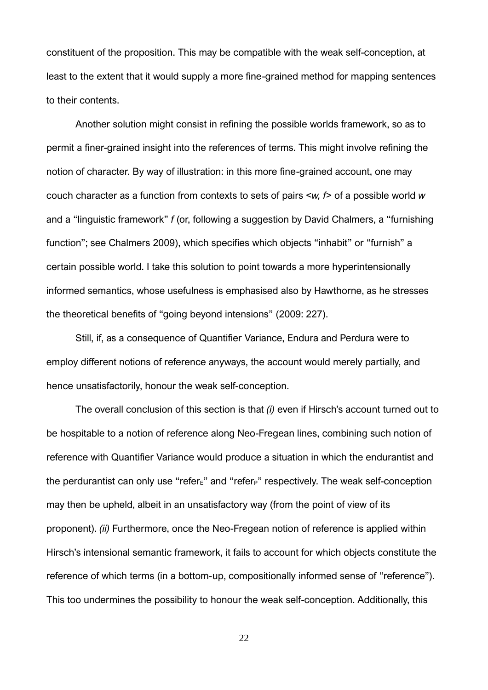constituent of the proposition. This may be compatible with the weak self-conception, at least to the extent that it would supply a more fine-grained method for mapping sentences to their contents.

Another solution might consist in refining the possible worlds framework, so as to permit a finer-grained insight into the references of terms. This might involve refining the notion of character. By way of illustration: in this more fine-grained account, one may couch character as a function from contexts to sets of pairs <*w, f*> of a possible world *w* and a "linguistic framework" *f* (or, following a suggestion by David Chalmers, a "furnishing function"; see Chalmers 2009), which specifies which objects "inhabit" or "furnish" a certain possible world. I take this solution to point towards a more hyperintensionally informed semantics, whose usefulness is emphasised also by Hawthorne, as he stresses the theoretical benefits of "going beyond intensions" (2009: 227).

Still, if, as a consequence of Quantifier Variance, Endura and Perdura were to employ different notions of reference anyways, the account would merely partially, and hence unsatisfactorily, honour the weak self-conception.

The overall conclusion of this section is that *(i)* even if Hirsch's account turned out to be hospitable to a notion of reference along Neo-Fregean lines, combining such notion of reference with Quantifier Variance would produce a situation in which the endurantist and the perdurantist can only use "refer $E$ " and "refer<sub>P</sub>" respectively. The weak self-conception may then be upheld, albeit in an unsatisfactory way (from the point of view of its proponent). *(ii)* Furthermore, once the Neo-Fregean notion of reference is applied within Hirsch's intensional semantic framework, it fails to account for which objects constitute the reference of which terms (in a bottom-up, compositionally informed sense of "reference"). This too undermines the possibility to honour the weak self-conception. Additionally, this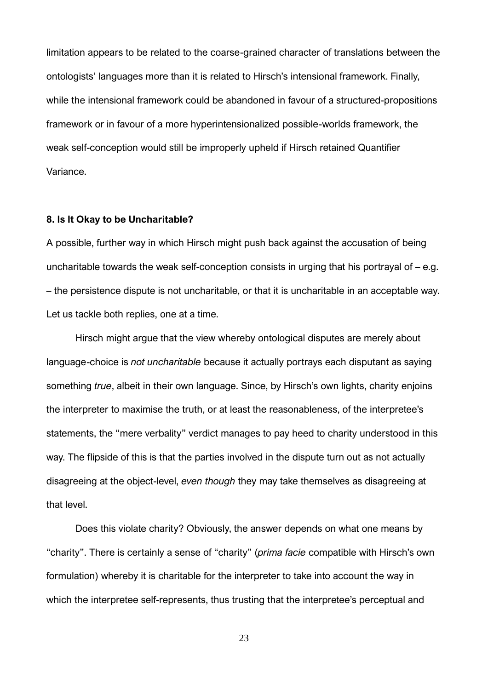limitation appears to be related to the coarse-grained character of translations between the ontologists' languages more than it is related to Hirsch's intensional framework. Finally, while the intensional framework could be abandoned in favour of a structured-propositions framework or in favour of a more hyperintensionalized possible-worlds framework, the weak self-conception would still be improperly upheld if Hirsch retained Quantifier Variance.

#### **8. Is It Okay to be Uncharitable?**

A possible, further way in which Hirsch might push back against the accusation of being uncharitable towards the weak self-conception consists in urging that his portrayal of – e.g. – the persistence dispute is not uncharitable, or that it is uncharitable in an acceptable way. Let us tackle both replies, one at a time.

Hirsch might argue that the view whereby ontological disputes are merely about language-choice is *not uncharitable* because it actually portrays each disputant as saying something *true*, albeit in their own language. Since, by Hirsch's own lights, charity enjoins the interpreter to maximise the truth, or at least the reasonableness, of the interpretee's statements, the "mere verbality" verdict manages to pay heed to charity understood in this way. The flipside of this is that the parties involved in the dispute turn out as not actually disagreeing at the object-level, *even though* they may take themselves as disagreeing at that level.

Does this violate charity? Obviously, the answer depends on what one means by "charity". There is certainly a sense of "charity" (*prima facie* compatible with Hirsch's own formulation) whereby it is charitable for the interpreter to take into account the way in which the interpretee self-represents, thus trusting that the interpretee's perceptual and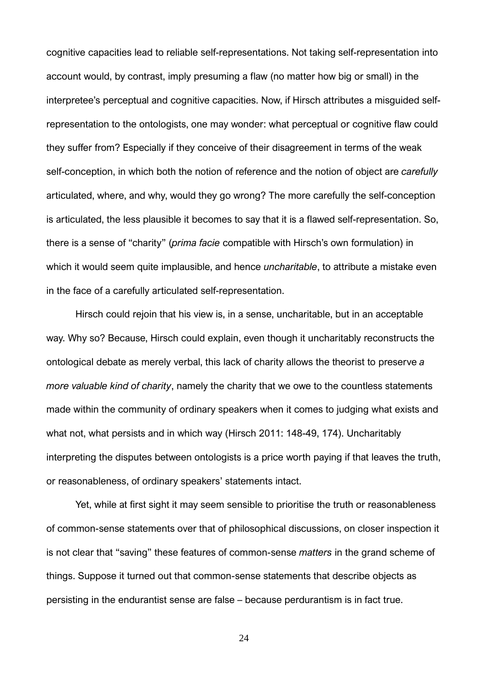cognitive capacities lead to reliable self-representations. Not taking self-representation into account would, by contrast, imply presuming a flaw (no matter how big or small) in the interpretee's perceptual and cognitive capacities. Now, if Hirsch attributes a misguided selfrepresentation to the ontologists, one may wonder: what perceptual or cognitive flaw could they suffer from? Especially if they conceive of their disagreement in terms of the weak self-conception, in which both the notion of reference and the notion of object are *carefully*  articulated, where, and why, would they go wrong? The more carefully the self-conception is articulated, the less plausible it becomes to say that it is a flawed self-representation. So, there is a sense of "charity" (*prima facie* compatible with Hirsch's own formulation) in which it would seem quite implausible, and hence *uncharitable*, to attribute a mistake even in the face of a carefully articulated self-representation.

Hirsch could rejoin that his view is, in a sense, uncharitable, but in an acceptable way. Why so? Because, Hirsch could explain, even though it uncharitably reconstructs the ontological debate as merely verbal, this lack of charity allows the theorist to preserve *a more valuable kind of charity*, namely the charity that we owe to the countless statements made within the community of ordinary speakers when it comes to judging what exists and what not, what persists and in which way (Hirsch 2011: 148-49, 174). Uncharitably interpreting the disputes between ontologists is a price worth paying if that leaves the truth, or reasonableness, of ordinary speakers' statements intact.

Yet, while at first sight it may seem sensible to prioritise the truth or reasonableness of common-sense statements over that of philosophical discussions, on closer inspection it is not clear that "saving" these features of common-sense *matters* in the grand scheme of things. Suppose it turned out that common-sense statements that describe objects as persisting in the endurantist sense are false – because perdurantism is in fact true.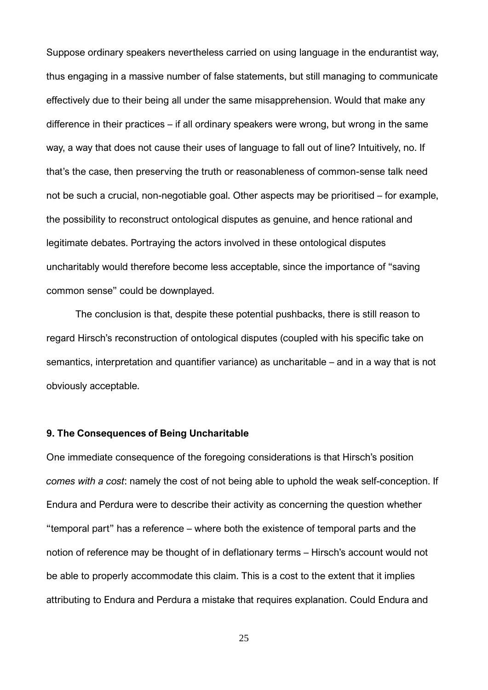Suppose ordinary speakers nevertheless carried on using language in the endurantist way, thus engaging in a massive number of false statements, but still managing to communicate effectively due to their being all under the same misapprehension. Would that make any difference in their practices – if all ordinary speakers were wrong, but wrong in the same way, a way that does not cause their uses of language to fall out of line? Intuitively, no. If that's the case, then preserving the truth or reasonableness of common-sense talk need not be such a crucial, non-negotiable goal. Other aspects may be prioritised – for example, the possibility to reconstruct ontological disputes as genuine, and hence rational and legitimate debates. Portraying the actors involved in these ontological disputes uncharitably would therefore become less acceptable, since the importance of "saving common sense" could be downplayed.

The conclusion is that, despite these potential pushbacks, there is still reason to regard Hirsch's reconstruction of ontological disputes (coupled with his specific take on semantics, interpretation and quantifier variance) as uncharitable – and in a way that is not obviously acceptable.

#### **9. The Consequences of Being Uncharitable**

One immediate consequence of the foregoing considerations is that Hirsch's position *comes with a cost*: namely the cost of not being able to uphold the weak self-conception. If Endura and Perdura were to describe their activity as concerning the question whether "temporal part" has a reference – where both the existence of temporal parts and the notion of reference may be thought of in deflationary terms – Hirsch's account would not be able to properly accommodate this claim. This is a cost to the extent that it implies attributing to Endura and Perdura a mistake that requires explanation. Could Endura and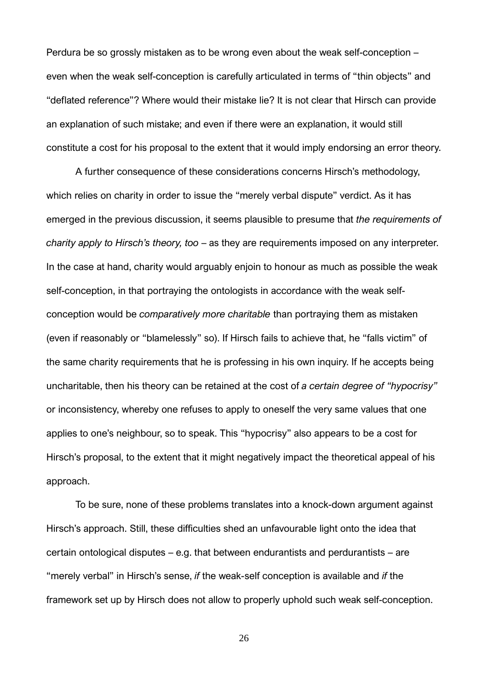Perdura be so grossly mistaken as to be wrong even about the weak self-conception – even when the weak self-conception is carefully articulated in terms of "thin objects" and "deflated reference"? Where would their mistake lie? It is not clear that Hirsch can provide an explanation of such mistake; and even if there were an explanation, it would still constitute a cost for his proposal to the extent that it would imply endorsing an error theory.

A further consequence of these considerations concerns Hirsch's methodology, which relies on charity in order to issue the "merely verbal dispute" verdict. As it has emerged in the previous discussion, it seems plausible to presume that *the requirements of charity apply to Hirsch's theory, too* – as they are requirements imposed on any interpreter. In the case at hand, charity would arguably enjoin to honour as much as possible the weak self-conception, in that portraying the ontologists in accordance with the weak selfconception would be *comparatively more charitable* than portraying them as mistaken (even if reasonably or "blamelessly" so). If Hirsch fails to achieve that, he "falls victim" of the same charity requirements that he is professing in his own inquiry. If he accepts being uncharitable, then his theory can be retained at the cost of *a certain degree of "hypocrisy"* or inconsistency, whereby one refuses to apply to oneself the very same values that one applies to one's neighbour, so to speak. This "hypocrisy" also appears to be a cost for Hirsch's proposal, to the extent that it might negatively impact the theoretical appeal of his approach.

To be sure, none of these problems translates into a knock-down argument against Hirsch's approach. Still, these difficulties shed an unfavourable light onto the idea that certain ontological disputes – e.g. that between endurantists and perdurantists – are "merely verbal" in Hirsch's sense, *if* the weak-self conception is available and *if* the framework set up by Hirsch does not allow to properly uphold such weak self-conception.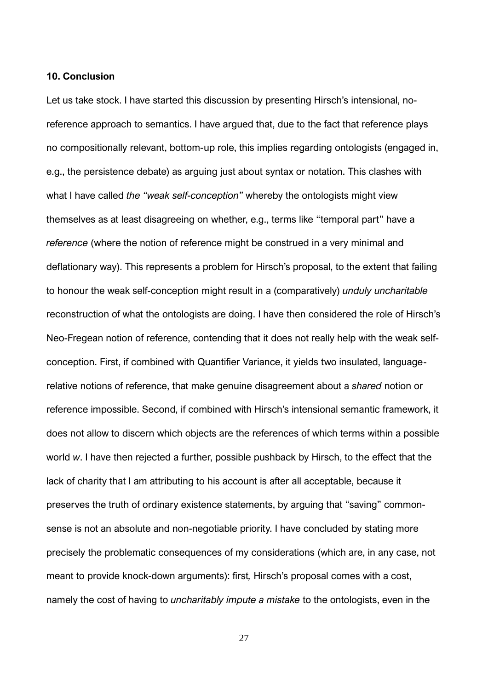#### **10. Conclusion**

Let us take stock. I have started this discussion by presenting Hirsch's intensional, noreference approach to semantics. I have argued that, due to the fact that reference plays no compositionally relevant, bottom-up role, this implies regarding ontologists (engaged in, e.g., the persistence debate) as arguing just about syntax or notation. This clashes with what I have called *the "weak self-conception"* whereby the ontologists might view themselves as at least disagreeing on whether, e.g., terms like "temporal part" have a *reference* (where the notion of reference might be construed in a very minimal and deflationary way). This represents a problem for Hirsch's proposal, to the extent that failing to honour the weak self-conception might result in a (comparatively) *unduly uncharitable* reconstruction of what the ontologists are doing. I have then considered the role of Hirsch's Neo-Fregean notion of reference, contending that it does not really help with the weak selfconception. First, if combined with Quantifier Variance, it yields two insulated, languagerelative notions of reference, that make genuine disagreement about a *shared* notion or reference impossible. Second, if combined with Hirsch's intensional semantic framework, it does not allow to discern which objects are the references of which terms within a possible world *w*. I have then rejected a further, possible pushback by Hirsch, to the effect that the lack of charity that I am attributing to his account is after all acceptable, because it preserves the truth of ordinary existence statements, by arguing that "saving" commonsense is not an absolute and non-negotiable priority. I have concluded by stating more precisely the problematic consequences of my considerations (which are, in any case, not meant to provide knock-down arguments): first*,* Hirsch's proposal comes with a cost, namely the cost of having to *uncharitably impute a mistake* to the ontologists, even in the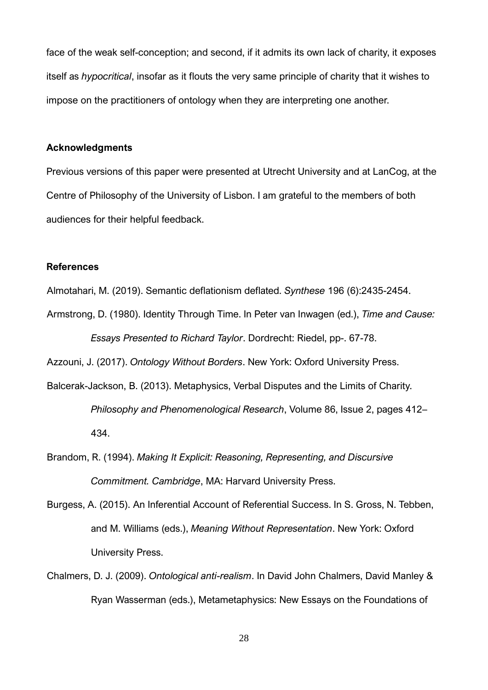face of the weak self-conception; and second, if it admits its own lack of charity, it exposes itself as *hypocritical*, insofar as it flouts the very same principle of charity that it wishes to impose on the practitioners of ontology when they are interpreting one another.

### **Acknowledgments**

Previous versions of this paper were presented at Utrecht University and at LanCog, at the Centre of Philosophy of the University of Lisbon. I am grateful to the members of both audiences for their helpful feedback.

### **References**

- Almotahari, M. (2019). Semantic deflationism deflated. *Synthese* 196 (6):2435-2454.
- Armstrong, D. (1980). Identity Through Time. In Peter van Inwagen (ed.), *Time and Cause: Essays Presented to Richard Taylor*. Dordrecht: Riedel, pp-. 67-78.

Azzouni, J. (2017). *Ontology Without Borders*. New York: Oxford University Press.

- Balcerak-Jackson, B. (2013). Metaphysics, Verbal Disputes and the Limits of Charity. *Philosophy and Phenomenological Research*, Volume 86, Issue 2, pages 412– 434.
- Brandom, R. (1994). *Making It Explicit: Reasoning, Representing, and Discursive Commitment. Cambridge*, MA: Harvard University Press.
- Burgess, A. (2015). An Inferential Account of Referential Success. In S. Gross, N. Tebben, and M. Williams (eds.), *Meaning Without Representation*. New York: Oxford University Press.
- Chalmers, D. J. (2009). *Ontological anti-realism*. In David John Chalmers, David Manley & Ryan Wasserman (eds.), Metametaphysics: New Essays on the Foundations of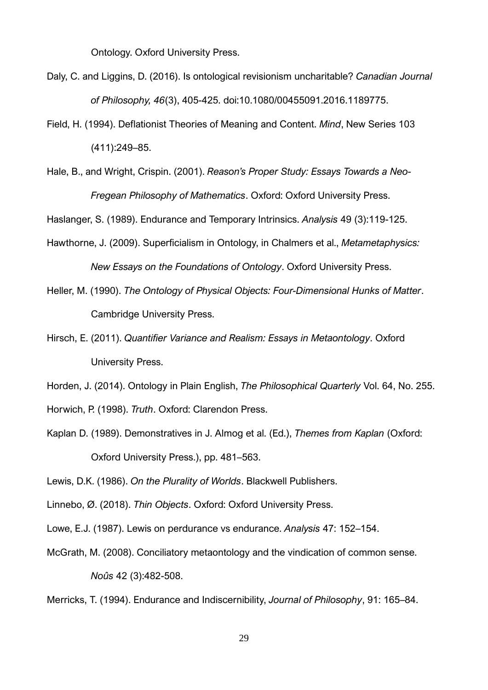Ontology. Oxford University Press.

- Daly, C. and Liggins, D. (2016). Is ontological revisionism uncharitable? *Canadian Journal of Philosophy, 46*(3), 405-425. doi:10.1080/00455091.2016.1189775.
- Field, H. (1994). Deflationist Theories of Meaning and Content. *Mind*, New Series 103 (411):249–85.
- Hale, B., and Wright, Crispin. (2001). *Reason's Proper Study: Essays Towards a Neo-Fregean Philosophy of Mathematics*. Oxford: Oxford University Press.

Haslanger, S. (1989). Endurance and Temporary Intrinsics. *Analysis* 49 (3):119-125.

- Hawthorne, J. (2009). Superficialism in Ontology, in Chalmers et al., *Metametaphysics: New Essays on the Foundations of Ontology*. Oxford University Press.
- Heller, M. (1990). *The Ontology of Physical Objects: Four-Dimensional Hunks of Matter*. Cambridge University Press.
- Hirsch, E. (2011). *Quantifier Variance and Realism: Essays in Metaontology*. Oxford University Press.

Horden, J. (2014). Ontology in Plain English, *The Philosophical Quarterly* Vol. 64, No. 255.

Horwich, P. (1998). *Truth*. Oxford: Clarendon Press.

Kaplan D. (1989). Demonstratives in J. Almog et al. (Ed.), *Themes from Kaplan* (Oxford: Oxford University Press.), pp. 481–563.

Lewis, D.K. (1986). *On the Plurality of Worlds*. Blackwell Publishers.

- Linnebo, Ø. (2018). *Thin Objects*. Oxford: Oxford University Press.
- Lowe, E.J. (1987). Lewis on perdurance vs endurance. *Analysis* 47: 152–154.
- McGrath, M. (2008). Conciliatory metaontology and the vindication of common sense. *Noûs* 42 (3):482-508.

Merricks, T. (1994). Endurance and Indiscernibility, *Journal of Philosophy*, 91: 165–84.